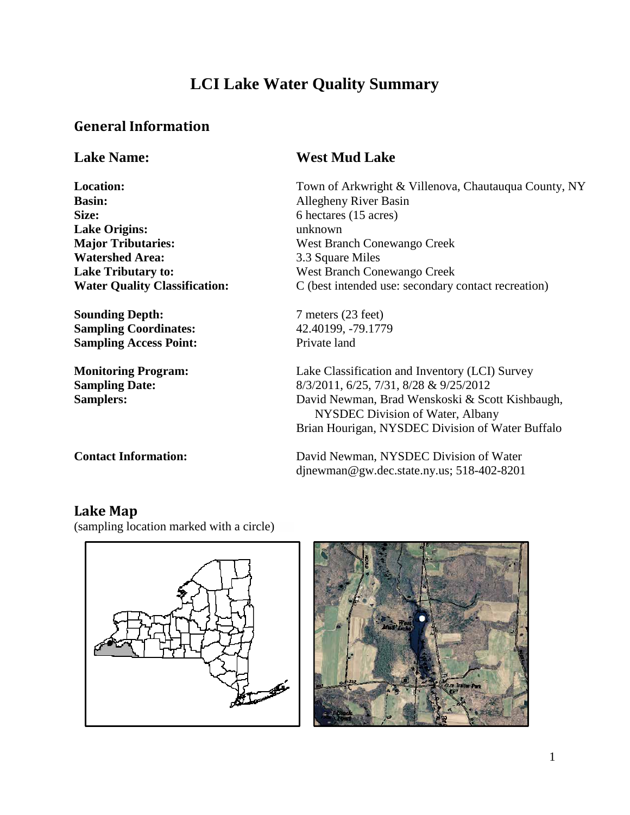# **LCI Lake Water Quality Summary**

#### **General Information**

**Basin:** Allegheny River Basin Size: 6 hectares (15 acres) **Lake Origins:** unknown **Watershed Area:** 3.3 Square Miles

**Sounding Depth:** 7 meters (23 feet) **Sampling Coordinates:** 42.40199, -79.1779 **Sampling Access Point:** Private land

#### **Lake Name: West Mud Lake**

**Location:** Town of Arkwright & Villenova, Chautauqua County, NY **Major Tributaries:** West Branch Conewango Creek **Lake Tributary to:** West Branch Conewango Creek **Water Quality Classification:** C (best intended use: secondary contact recreation)

**Monitoring Program:** Lake Classification and Inventory (LCI) Survey **Sampling Date:** 8/3/2011, 6/25, 7/31, 8/28 & 9/25/2012 **Samplers:** David Newman, Brad Wenskoski & Scott Kishbaugh, NYSDEC Division of Water, Albany Brian Hourigan, NYSDEC Division of Water Buffalo

**Contact Information:** David Newman, NYSDEC Division of Water djnewman@gw.dec.state.ny.us; 518-402-8201

#### **Lake Map**

(sampling location marked with a circle)



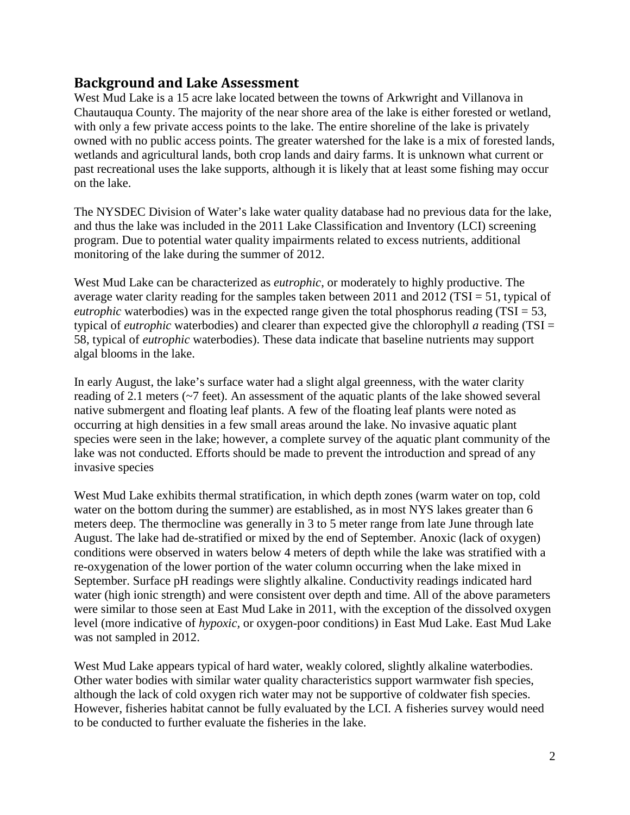#### **Background and Lake Assessment**

West Mud Lake is a 15 acre lake located between the towns of Arkwright and Villanova in Chautauqua County. The majority of the near shore area of the lake is either forested or wetland, with only a few private access points to the lake. The entire shoreline of the lake is privately owned with no public access points. The greater watershed for the lake is a mix of forested lands, wetlands and agricultural lands, both crop lands and dairy farms. It is unknown what current or past recreational uses the lake supports, although it is likely that at least some fishing may occur on the lake.

The NYSDEC Division of Water's lake water quality database had no previous data for the lake, and thus the lake was included in the 2011 Lake Classification and Inventory (LCI) screening program. Due to potential water quality impairments related to excess nutrients, additional monitoring of the lake during the summer of 2012.

West Mud Lake can be characterized as *eutrophic*, or moderately to highly productive. The average water clarity reading for the samples taken between 2011 and 2012 (TSI = 51, typical of *eutrophic* waterbodies) was in the expected range given the total phosphorus reading (TSI  $=$  53, typical of *eutrophic* waterbodies) and clearer than expected give the chlorophyll *a* reading (TSI = 58, typical of *eutrophic* waterbodies). These data indicate that baseline nutrients may support algal blooms in the lake.

In early August, the lake's surface water had a slight algal greenness, with the water clarity reading of 2.1 meters (~7 feet). An assessment of the aquatic plants of the lake showed several native submergent and floating leaf plants. A few of the floating leaf plants were noted as occurring at high densities in a few small areas around the lake. No invasive aquatic plant species were seen in the lake; however, a complete survey of the aquatic plant community of the lake was not conducted. Efforts should be made to prevent the introduction and spread of any invasive species

West Mud Lake exhibits thermal stratification, in which depth zones (warm water on top, cold water on the bottom during the summer) are established, as in most NYS lakes greater than 6 meters deep. The thermocline was generally in 3 to 5 meter range from late June through late August. The lake had de-stratified or mixed by the end of September. Anoxic (lack of oxygen) conditions were observed in waters below 4 meters of depth while the lake was stratified with a re-oxygenation of the lower portion of the water column occurring when the lake mixed in September. Surface pH readings were slightly alkaline. Conductivity readings indicated hard water (high ionic strength) and were consistent over depth and time. All of the above parameters were similar to those seen at East Mud Lake in 2011, with the exception of the dissolved oxygen level (more indicative of *hypoxic,* or oxygen-poor conditions) in East Mud Lake. East Mud Lake was not sampled in 2012.

West Mud Lake appears typical of hard water, weakly colored, slightly alkaline waterbodies. Other water bodies with similar water quality characteristics support warmwater fish species, although the lack of cold oxygen rich water may not be supportive of coldwater fish species. However, fisheries habitat cannot be fully evaluated by the LCI. A fisheries survey would need to be conducted to further evaluate the fisheries in the lake.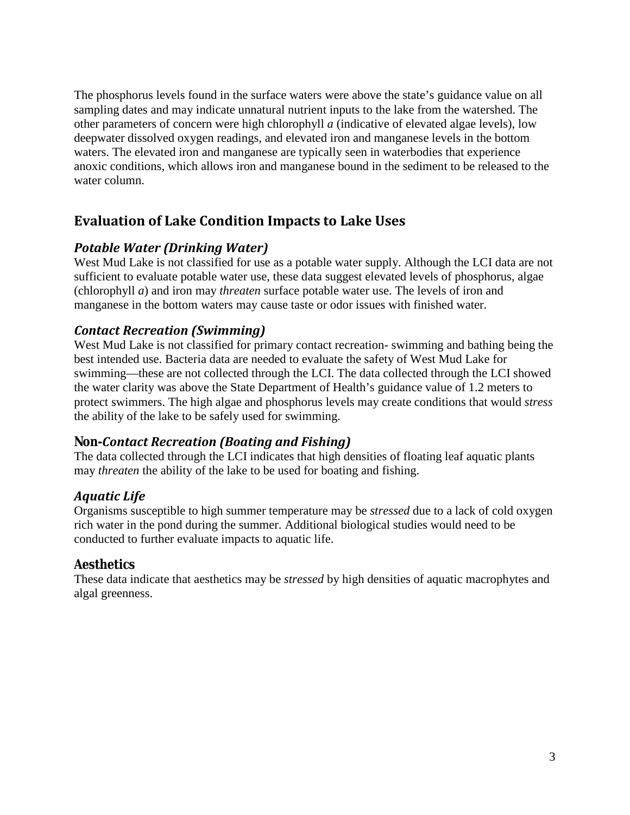The phosphorus levels found in the surface waters were above the state's guidance value on all sampling dates and may indicate unnatural nutrient inputs to the lake from the watershed. The other parameters of concern were high chlorophyll *a* (indicative of elevated algae levels), low deepwater dissolved oxygen readings, and elevated iron and manganese levels in the bottom waters. The elevated iron and manganese are typically seen in waterbodies that experience anoxic conditions, which allows iron and manganese bound in the sediment to be released to the water column.

#### **Evaluation of Lake Condition Impacts to Lake Uses**

#### *Potable Water (Drinking Water)*

West Mud Lake is not classified for use as a potable water supply. Although the LCI data are not sufficient to evaluate potable water use, these data suggest elevated levels of phosphorus, algae (chlorophyll *a*) and iron may *threaten* surface potable water use. The levels of iron and manganese in the bottom waters may cause taste or odor issues with finished water.

#### *Contact Recreation (Swimming)*

West Mud Lake is not classified for primary contact recreation- swimming and bathing being the best intended use. Bacteria data are needed to evaluate the safety of West Mud Lake for swimming—these are not collected through the LCI. The data collected through the LCI showed the water clarity was above the State Department of Health's guidance value of 1.2 meters to protect swimmers. The high algae and phosphorus levels may create conditions that would *stress*  the ability of the lake to be safely used for swimming.

#### *Non-Contact Recreation (Boating and Fishing)*

The data collected through the LCI indicates that high densities of floating leaf aquatic plants may *threaten* the ability of the lake to be used for boating and fishing.

#### *Aquatic Life*

Organisms susceptible to high summer temperature may be *stressed* due to a lack of cold oxygen rich water in the pond during the summer. Additional biological studies would need to be conducted to further evaluate impacts to aquatic life.

#### *Aesthetics*

These data indicate that aesthetics may be *stressed* by high densities of aquatic macrophytes and algal greenness.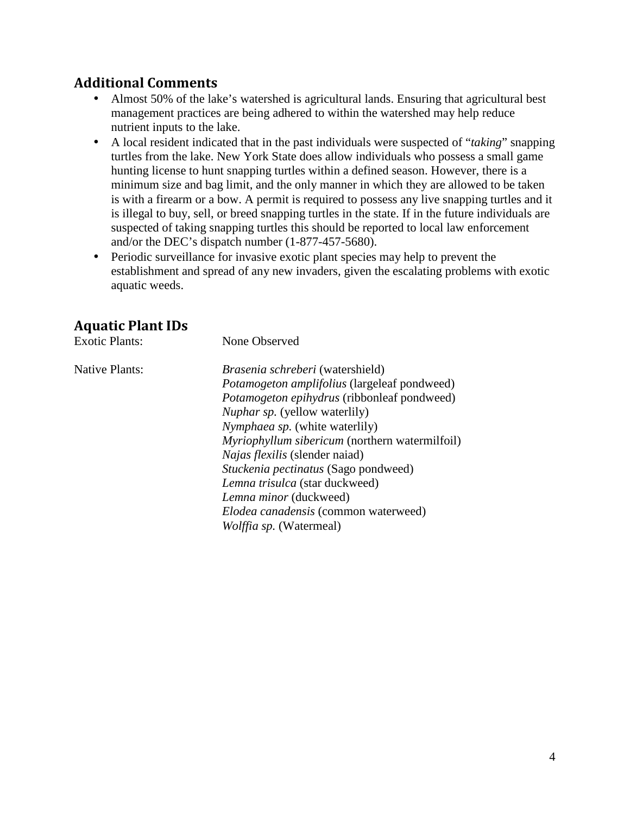#### **Additional Comments**

- Almost 50% of the lake's watershed is agricultural lands. Ensuring that agricultural best management practices are being adhered to within the watershed may help reduce nutrient inputs to the lake.
- A local resident indicated that in the past individuals were suspected of "*taking*" snapping turtles from the lake. New York State does allow individuals who possess a small game hunting license to hunt snapping turtles within a defined season. However, there is a minimum size and bag limit, and the only manner in which they are allowed to be taken is with a firearm or a bow. A permit is required to possess any live snapping turtles and it is illegal to buy, sell, or breed snapping turtles in the state. If in the future individuals are suspected of taking snapping turtles this should be reported to local law enforcement and/or the DEC's dispatch number (1-877-457-5680).
- Periodic surveillance for invasive exotic plant species may help to prevent the  $\mathbf{r}^{\prime}$ establishment and spread of any new invaders, given the escalating problems with exotic aquatic weeds.

#### **Aquatic Plant IDs**

Exotic Plants: None Observed

Native Plants: *Brasenia schreberi* (watershield) *Potamogeton amplifolius* (largeleaf pondweed) *Potamogeton epihydrus* (ribbonleaf pondweed) *Nuphar sp.* (yellow waterlily) *Nymphaea sp.* (white waterlily) *Myriophyllum sibericum* (northern watermilfoil) *Najas flexilis* (slender naiad) *Stuckenia pectinatus* (Sago pondweed) *Lemna trisulca* (star duckweed) *Lemna minor* (duckweed) *Elodea canadensis* (common waterweed) *Wolffia sp.* (Watermeal)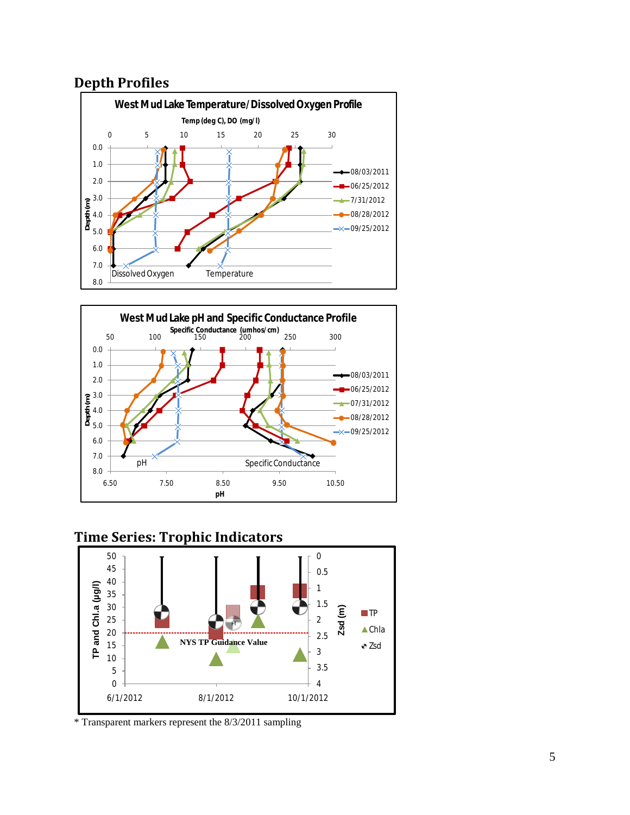#### **Depth Profiles**





#### **Time Series: Trophic Indicators**



\* Transparent markers represent the 8/3/2011 sampling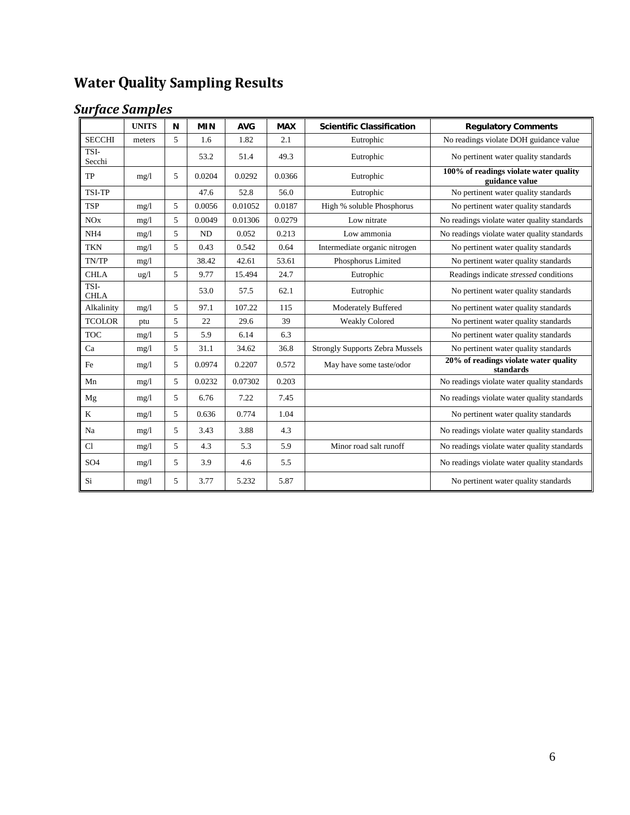# **Water Quality Sampling Results**

# *Surface Samples*

|                     | <b>UNITS</b> | N | <b>MIN</b> | <b>AVG</b> | <b>MAX</b> | <b>Scientific Classification</b>       | <b>Regulatory Comments</b>                               |
|---------------------|--------------|---|------------|------------|------------|----------------------------------------|----------------------------------------------------------|
| <b>SECCHI</b>       | meters       | 5 | 1.6        | 1.82       | 2.1        | Eutrophic                              | No readings violate DOH guidance value                   |
| TSI-<br>Secchi      |              |   | 53.2       | 51.4       | 49.3       | Eutrophic                              | No pertinent water quality standards                     |
| TP                  | mg/1         | 5 | 0.0204     | 0.0292     | 0.0366     | Eutrophic                              | 100% of readings violate water quality<br>guidance value |
| <b>TSI-TP</b>       |              |   | 47.6       | 52.8       | 56.0       | Eutrophic                              | No pertinent water quality standards                     |
| <b>TSP</b>          | mg/l         | 5 | 0.0056     | 0.01052    | 0.0187     | High % soluble Phosphorus              | No pertinent water quality standards                     |
| <b>NO</b> x         | mg/1         | 5 | 0.0049     | 0.01306    | 0.0279     | Low nitrate                            | No readings violate water quality standards              |
| NH <sub>4</sub>     | mg/1         | 5 | <b>ND</b>  | 0.052      | 0.213      | Low ammonia                            | No readings violate water quality standards              |
| <b>TKN</b>          | mg/1         | 5 | 0.43       | 0.542      | 0.64       | Intermediate organic nitrogen          | No pertinent water quality standards                     |
| TN/TP               | mg/1         |   | 38.42      | 42.61      | 53.61      | Phosphorus Limited                     | No pertinent water quality standards                     |
| <b>CHLA</b>         | ug/l         | 5 | 9.77       | 15.494     | 24.7       | Eutrophic                              | Readings indicate stressed conditions                    |
| TSI-<br><b>CHLA</b> |              |   | 53.0       | 57.5       | 62.1       | Eutrophic                              | No pertinent water quality standards                     |
| Alkalinity          | mg/1         | 5 | 97.1       | 107.22     | 115        | <b>Moderately Buffered</b>             | No pertinent water quality standards                     |
| <b>TCOLOR</b>       | ptu          | 5 | 22         | 29.6       | 39         | <b>Weakly Colored</b>                  | No pertinent water quality standards                     |
| <b>TOC</b>          | mg/1         | 5 | 5.9        | 6.14       | 6.3        |                                        | No pertinent water quality standards                     |
| Ca                  | mg/1         | 5 | 31.1       | 34.62      | 36.8       | <b>Strongly Supports Zebra Mussels</b> | No pertinent water quality standards                     |
| Fe                  | mg/1         | 5 | 0.0974     | 0.2207     | 0.572      | May have some taste/odor               | 20% of readings violate water quality<br>standards       |
| Mn                  | mg/1         | 5 | 0.0232     | 0.07302    | 0.203      |                                        | No readings violate water quality standards              |
| Mg                  | mg/1         | 5 | 6.76       | 7.22       | 7.45       |                                        | No readings violate water quality standards              |
| K                   | mg/1         | 5 | 0.636      | 0.774      | 1.04       |                                        | No pertinent water quality standards                     |
| Na                  | mg/1         | 5 | 3.43       | 3.88       | 4.3        |                                        | No readings violate water quality standards              |
| C1                  | mg/1         | 5 | 4.3        | 5.3        | 5.9        | Minor road salt runoff                 | No readings violate water quality standards              |
| SO <sub>4</sub>     | mg/1         | 5 | 3.9        | 4.6        | 5.5        |                                        | No readings violate water quality standards              |
| Si                  | mg/1         | 5 | 3.77       | 5.232      | 5.87       |                                        | No pertinent water quality standards                     |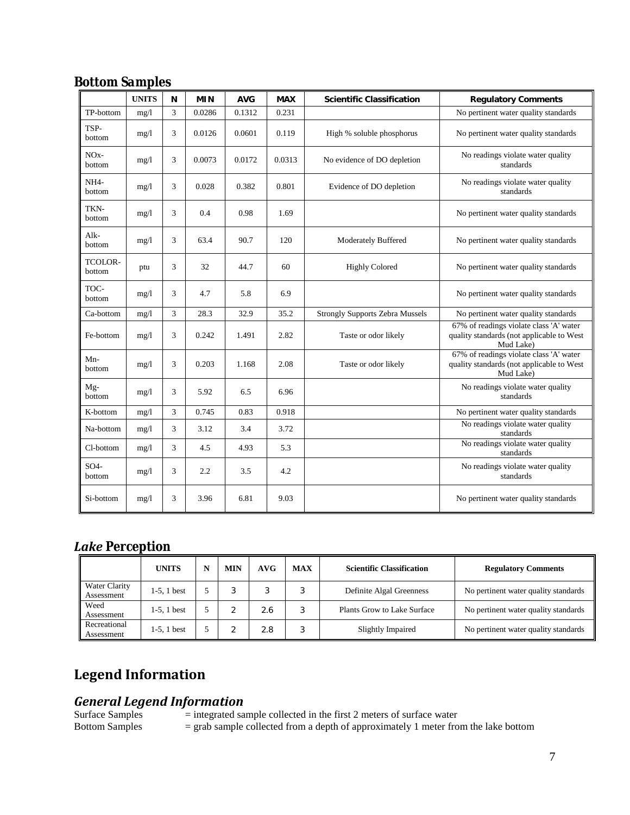| <b>Bottom Samples</b> |  |
|-----------------------|--|
|                       |  |

|                             | <b>UNITS</b> | N | <b>MIN</b> | <b>AVG</b> | <b>MAX</b> | <b>Scientific Classification</b>       | <b>Regulatory Comments</b>                                                                        |
|-----------------------------|--------------|---|------------|------------|------------|----------------------------------------|---------------------------------------------------------------------------------------------------|
| TP-bottom                   | mg/1         | 3 | 0.0286     | 0.1312     | 0.231      |                                        | No pertinent water quality standards                                                              |
| TSP-<br>bottom              | mg/1         | 3 | 0.0126     | 0.0601     | 0.119      | High % soluble phosphorus              | No pertinent water quality standards                                                              |
| NO <sub>x</sub> -<br>bottom | mg/1         | 3 | 0.0073     | 0.0172     | 0.0313     | No evidence of DO depletion            | No readings violate water quality<br>standards                                                    |
| NH <sub>4</sub> -<br>bottom | mg/l         | 3 | 0.028      | 0.382      | 0.801      | Evidence of DO depletion               | No readings violate water quality<br>standards                                                    |
| TKN-<br>bottom              | mg/1         | 3 | 0.4        | 0.98       | 1.69       |                                        | No pertinent water quality standards                                                              |
| Alk-<br>bottom              | mg/1         | 3 | 63.4       | 90.7       | 120        | <b>Moderately Buffered</b>             | No pertinent water quality standards                                                              |
| TCOLOR-<br>bottom           | ptu          | 3 | 32         | 44.7       | 60         | <b>Highly Colored</b>                  | No pertinent water quality standards                                                              |
| TOC-<br>bottom              | mg/1         | 3 | 4.7        | 5.8        | 6.9        |                                        | No pertinent water quality standards                                                              |
| Ca-bottom                   | mg/1         | 3 | 28.3       | 32.9       | 35.2       | <b>Strongly Supports Zebra Mussels</b> | No pertinent water quality standards                                                              |
| Fe-bottom                   | mg/1         | 3 | 0.242      | 1.491      | 2.82       | Taste or odor likely                   | 67% of readings violate class 'A' water<br>quality standards (not applicable to West<br>Mud Lake) |
| $Mn-$<br>bottom             | mg/1         | 3 | 0.203      | 1.168      | 2.08       | Taste or odor likely                   | 67% of readings violate class 'A' water<br>quality standards (not applicable to West<br>Mud Lake) |
| $Mg-$<br>bottom             | mg/1         | 3 | 5.92       | 6.5        | 6.96       |                                        | No readings violate water quality<br>standards                                                    |
| K-bottom                    | mg/1         | 3 | 0.745      | 0.83       | 0.918      |                                        | No pertinent water quality standards                                                              |
| Na-bottom                   | mg/1         | 3 | 3.12       | 3.4        | 3.72       |                                        | No readings violate water quality<br>standards                                                    |
| Cl-bottom                   | mg/1         | 3 | 4.5        | 4.93       | 5.3        |                                        | No readings violate water quality<br>standards                                                    |
| SO <sub>4</sub><br>bottom   | mg/1         | 3 | 2.2        | 3.5        | 4.2        |                                        | No readings violate water quality<br>standards                                                    |
| Si-bottom                   | mg/1         | 3 | 3.96       | 6.81       | 9.03       |                                        | No pertinent water quality standards                                                              |

#### *Lake Perception*

|                             | <b>UNITS</b>   | MIN | AVG | <b>MAX</b>       | <b>Scientific Classification</b> | <b>Regulatory Comments</b>           |
|-----------------------------|----------------|-----|-----|------------------|----------------------------------|--------------------------------------|
| Water Clarity<br>Assessment | $1-5$ . 1 best | c   |     | $\sqrt{2}$<br>ш. | Definite Algal Greenness         | No pertinent water quality standards |
| Weed<br>Assessment          | $1-5$ , 1 best |     | 2.6 | 3                | Plants Grow to Lake Surface      | No pertinent water quality standards |
| Recreational<br>Assessment  | $1-5$ , 1 best |     | 2.8 | G                | Slightly Impaired                | No pertinent water quality standards |

## **Legend Information**

# *General Legend Information*

Surface Samples = integrated sample collected in the first 2 meters of surface water<br>Bottom Samples = grab sample collected from a depth of approximately 1 meter from  $=$  grab sample collected from a depth of approximately 1 meter from the lake bottom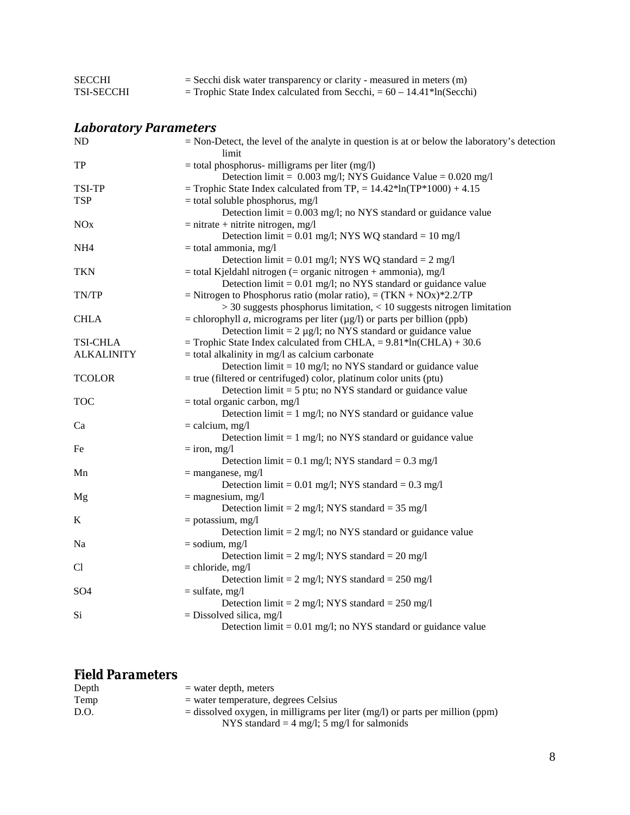| <b>SECCHI</b>                | $=$ Secchi disk water transparency or clarity - measured in meters $(m)$                                                                |
|------------------------------|-----------------------------------------------------------------------------------------------------------------------------------------|
| <b>TSI-SECCHI</b>            | $=$ Trophic State Index calculated from Secchi, $= 60 - 14.41*$ ln(Secchi)                                                              |
| <b>Laboratory Parameters</b> |                                                                                                                                         |
|                              |                                                                                                                                         |
| ND                           | $=$ Non-Detect, the level of the analyte in question is at or below the laboratory's detection<br>limit                                 |
| TP                           | $=$ total phosphorus- milligrams per liter (mg/l)<br>Detection limit = $0.003$ mg/l; NYS Guidance Value = $0.020$ mg/l                  |
| TSI-TP                       | = Trophic State Index calculated from TP, = $14.42*ln(TP*1000) + 4.15$                                                                  |
| <b>TSP</b>                   | $=$ total soluble phosphorus, mg/l<br>Detection $\lim_{t=0}$ = 0.003 mg/l; no NYS standard or guidance value                            |
| <b>NO<sub>x</sub></b>        | $=$ nitrate + nitrite nitrogen, mg/l                                                                                                    |
|                              | Detection limit = $0.01$ mg/l; NYS WQ standard = $10$ mg/l                                                                              |
| NH <sub>4</sub>              | $=$ total ammonia, mg/l                                                                                                                 |
|                              | Detection limit = $0.01$ mg/l; NYS WQ standard = $2$ mg/l                                                                               |
| <b>TKN</b>                   | $=$ total Kjeldahl nitrogen ( $=$ organic nitrogen $+$ ammonia), mg/l                                                                   |
|                              | Detection $\lim_{t=0} 0.01$ mg/l; no NYS standard or guidance value                                                                     |
| TN/TP                        | = Nitrogen to Phosphorus ratio (molar ratio), = $(TKN + NOx)*2.2/TP$                                                                    |
|                              | $>$ 30 suggests phosphorus limitation, $<$ 10 suggests nitrogen limitation                                                              |
| <b>CHLA</b>                  | = chlorophyll <i>a</i> , micrograms per liter ( $\mu$ g/l) or parts per billion (ppb)                                                   |
|                              | Detection $\text{limit} = 2 \mu g/l$ ; no NYS standard or guidance value                                                                |
| <b>TSI-CHLA</b>              | = Trophic State Index calculated from CHLA, = $9.81*ln(CHLA) + 30.6$                                                                    |
| <b>ALKALINITY</b>            | $=$ total alkalinity in mg/l as calcium carbonate                                                                                       |
| <b>TCOLOR</b>                | Detection $\lim_{t=10}$ mg/l; no NYS standard or guidance value<br>$=$ true (filtered or centrifuged) color, platinum color units (ptu) |
|                              | Detection $\text{limit} = 5 \text{ put}$ ; no NYS standard or guidance value                                                            |
| TOC                          | $=$ total organic carbon, mg/l                                                                                                          |
|                              | Detection $\lim_{t=1}$ mg/l; no NYS standard or guidance value                                                                          |
| Ca                           | $=$ calcium, mg/l                                                                                                                       |
|                              | Detection $\lim_{t=1}$ mg/l; no NYS standard or guidance value                                                                          |
| Fe                           | $=$ iron, mg/l                                                                                                                          |
|                              | Detection limit = $0.1$ mg/l; NYS standard = $0.3$ mg/l                                                                                 |
| Mn                           | $=$ manganese, mg/l                                                                                                                     |
|                              | Detection limit = $0.01$ mg/l; NYS standard = $0.3$ mg/l                                                                                |
| Mg                           | $=$ magnesium, mg/l                                                                                                                     |
|                              | Detection limit = $2 \text{ mg/l}$ ; NYS standard = $35 \text{ mg/l}$                                                                   |
| K                            | $=$ potassium, mg/l                                                                                                                     |
|                              | Detection $\lim_{t=2}$ mg/l; no NYS standard or guidance value                                                                          |
| Na                           | $=$ sodium, mg/l                                                                                                                        |
|                              | Detection limit = $2 \text{ mg/l}$ ; NYS standard = $20 \text{ mg/l}$                                                                   |
| Cl                           | $=$ chloride, mg/l                                                                                                                      |
|                              | Detection limit = $2 \text{ mg/l}$ ; NYS standard = $250 \text{ mg/l}$                                                                  |
| SO <sub>4</sub>              | $=$ sulfate, mg/l                                                                                                                       |
|                              | Detection limit = $2 \text{ mg/l}$ ; NYS standard = $250 \text{ mg/l}$                                                                  |
| Si                           | $=$ Dissolved silica, mg/l                                                                                                              |
|                              | Detection $\lim_{t=0} 0.01$ mg/l; no NYS standard or guidance value                                                                     |

### *Field Parameters*

| Depth | $=$ water depth, meters                                                         |
|-------|---------------------------------------------------------------------------------|
| Temp  | $=$ water temperature, degrees Celsius                                          |
| D.O.  | $=$ dissolved oxygen, in milligrams per liter (mg/l) or parts per million (ppm) |
|       | NYS standard = $4 \text{ mg/l}$ ; 5 mg/l for salmonids                          |
|       |                                                                                 |